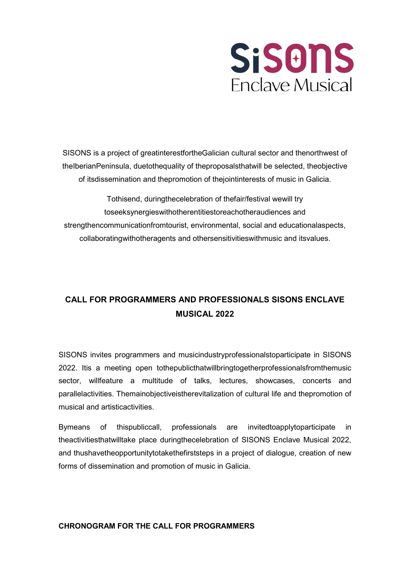

SISONS is a project of greatinterestfortheGalician cultural sector and thenorthwest of theIberianPeninsula, duetothequality of theproposalsthatwill be selected, theobjective of itsdissemination and thepromotion of thejointinterests of music in Galicia.

Tothisend, duringthecelebration of thefair/festival wewill try toseeksynergieswithotherentitiestoreachotheraudiences and strengthencommunicationfromtourist, environmental, social and educationalaspects, collaboratingwithotheragents and othersensitivitieswithmusic and itsvalues.

# CALL FOR PROGRAMMERS AND PROFESSIONALS SISONS ENCLAVE MUSICAL 2022

SISONS invites programmers and musicindustryprofessionalstoparticipate in SISONS 2022. Itis a meeting open tothepublicthatwillbringtogetherprofessionalsfromthemusic sector, willfeature a multitude of talks, lectures, showcases, concerts and parallelactivities. Themainobjectiveistherevitalization of cultural life and thepromotion of musical and artisticactivities.

Bymeans of thispubliccall, professionals are invitedtoapplytoparticipate in theactivitiesthatwilltake place duringthecelebration of SISONS Enclave Musical 2022, and thushavetheopportunitytotakethefirststeps in a project of dialogue, creation of new forms of dissemination and promotion of music in Galicia.

#### CHRONOGRAM FOR THE CALL FOR PROGRAMMERS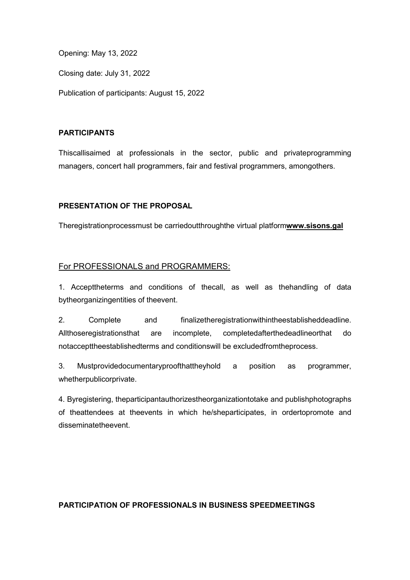Opening: May 13, 2022

Closing date: July 31, 2022

Publication of participants: August 15, 2022

## PARTICIPANTS

Thiscallisaimed at professionals in the sector, public and privateprogramming managers, concert hall programmers, fair and festival programmers, amongothers.

## PRESENTATION OF THE PROPOSAL

Theregistrationprocessmust be carriedoutthroughthe virtual platformwww.sisons.gal

## For PROFESSIONALS and PROGRAMMERS:

1. Accepttheterms and conditions of thecall, as well as thehandling of data bytheorganizingentities of theevent.

2. Complete and finalizetheregistrationwithintheestablisheddeadline. Allthoseregistrationsthat are incomplete, completedafterthedeadlineorthat do notaccepttheestablishedterms and conditionswill be excludedfromtheprocess.

3. Mustprovidedocumentaryproofthattheyhold a position as programmer, whetherpublicorprivate.

4. Byregistering, theparticipantauthorizestheorganizationtotake and publishphotographs of theattendees at theevents in which he/sheparticipates, in ordertopromote and disseminatetheevent.

#### PARTICIPATION OF PROFESSIONALS IN BUSINESS SPEEDMEETINGS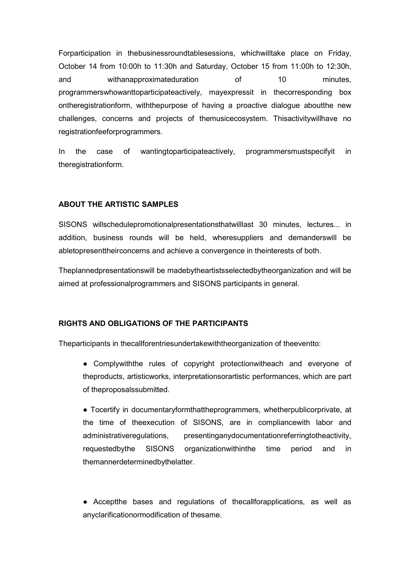Forparticipation in thebusinessroundtablesessions, whichwilltake place on Friday, October 14 from 10:00h to 11:30h and Saturday, October 15 from 11:00h to 12:30h, and withanapproximateduration of 10 minutes, programmerswhowanttoparticipateactively, mayexpressit in thecorresponding box ontheregistrationform, withthepurpose of having a proactive dialogue aboutthe new challenges, concerns and projects of themusicecosystem. Thisactivitywillhave no registrationfeeforprogrammers.

In the case of wantingtoparticipateactively, programmersmustspecifyit in theregistrationform.

#### ABOUT THE ARTISTIC SAMPLES

SISONS willschedulepromotionalpresentationsthatwilllast 30 minutes, lectures... in addition, business rounds will be held, wheresuppliers and demanderswill be abletopresenttheirconcerns and achieve a convergence in theinterests of both.

Theplannedpresentationswill be madebytheartistsselectedbytheorganization and will be aimed at professionalprogrammers and SISONS participants in general.

## RIGHTS AND OBLIGATIONS OF THE PARTICIPANTS

Theparticipants in thecallforentriesundertakewiththeorganization of theeventto:

● Complywiththe rules of copyright protectionwitheach and everyone of theproducts, artisticworks, interpretationsorartistic performances, which are part of theproposalssubmitted.

● Tocertify in documentaryformthattheprogrammers, whetherpublicorprivate, at the time of theexecution of SISONS, are in compliancewith labor and administrativeregulations, presentinganydocumentationreferringtotheactivity, requestedbythe SISONS organizationwithinthe time period and in themannerdeterminedbythelatter.

● Acceptthe bases and regulations of thecallforapplications, as well as anyclarificationormodification of thesame.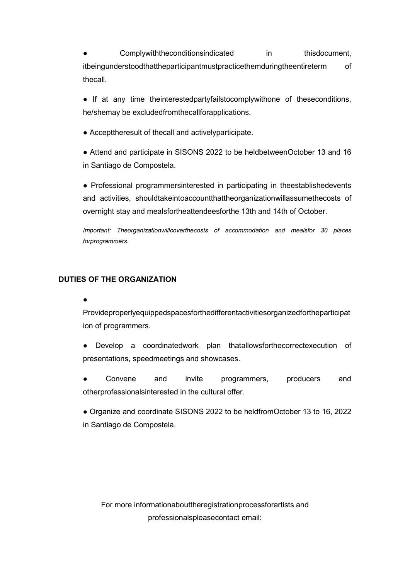Complywiththeconditionsindicated in thisdocument, itbeingunderstoodthattheparticipantmustpracticethemduringtheentireterm of thecall.

• If at any time theinterestedpartyfailstocomplywithone of theseconditions, he/shemay be excludedfromthecallforapplications.

● Accepttheresult of thecall and activelyparticipate.

● Attend and participate in SISONS 2022 to be heldbetweenOctober 13 and 16 in Santiago de Compostela.

● Professional programmersinterested in participating in theestablishedevents and activities, shouldtakeintoaccountthattheorganizationwillassumethecosts of overnight stay and mealsfortheattendeesforthe 13th and 14th of October.

Important: Theorganizationwillcoverthecosts of accommodation and mealsfor 30 places forprogrammers.

#### DUTIES OF THE ORGANIZATION

●

Provideproperlyequippedspacesforthedifferentactivitiesorganizedfortheparticipat ion of programmers.

● Develop a coordinatedwork plan thatallowsforthecorrectexecution of presentations, speedmeetings and showcases.

Convene and invite programmers, producers and otherprofessionalsinterested in the cultural offer.

● Organize and coordinate SISONS 2022 to be heldfromOctober 13 to 16, 2022 in Santiago de Compostela.

For more informationabouttheregistrationprocessforartists and professionalspleasecontact email: